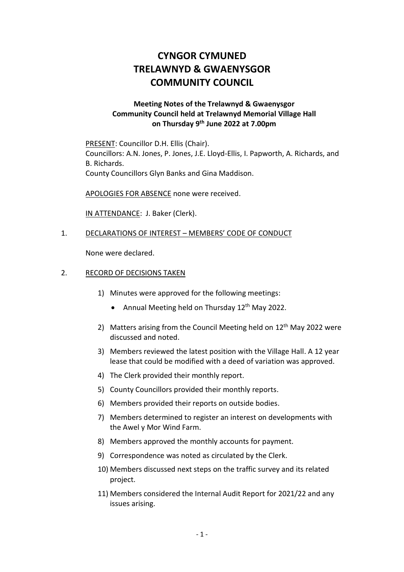## **CYNGOR CYMUNED TRELAWNYD & GWAENYSGOR COMMUNITY COUNCIL**

## **Meeting Notes of the Trelawnyd & Gwaenysgor Community Council held at Trelawnyd Memorial Village Hall on Thursday 9 th June 2022 at 7.00pm**

PRESENT: Councillor D.H. Ellis (Chair). Councillors: A.N. Jones, P. Jones, J.E. Lloyd-Ellis, I. Papworth, A. Richards, and B. Richards. County Councillors Glyn Banks and Gina Maddison.

APOLOGIES FOR ABSENCE none were received.

IN ATTENDANCE: J. Baker (Clerk).

## 1. DECLARATIONS OF INTEREST – MEMBERS' CODE OF CONDUCT

None were declared.

## 2. RECORD OF DECISIONS TAKEN

- 1) Minutes were approved for the following meetings:
	- Annual Meeting held on Thursday 12<sup>th</sup> May 2022.
- 2) Matters arising from the Council Meeting held on 12<sup>th</sup> May 2022 were discussed and noted.
- 3) Members reviewed the latest position with the Village Hall. A 12 year lease that could be modified with a deed of variation was approved.
- 4) The Clerk provided their monthly report.
- 5) County Councillors provided their monthly reports.
- 6) Members provided their reports on outside bodies.
- 7) Members determined to register an interest on developments with the Awel y Mor Wind Farm.
- 8) Members approved the monthly accounts for payment.
- 9) Correspondence was noted as circulated by the Clerk.
- 10) Members discussed next steps on the traffic survey and its related project.
- 11) Members considered the Internal Audit Report for 2021/22 and any issues arising.